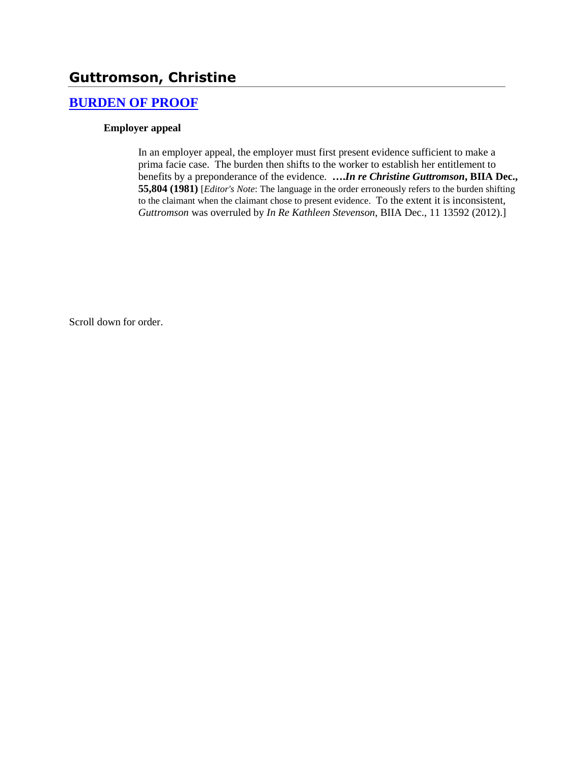# **Guttromson, Christine**

### **[BURDEN OF PROOF](http://www.biia.wa.gov/SDSubjectIndex.html#BURDEN_OF_PROOF)**

### **Employer appeal**

In an employer appeal, the employer must first present evidence sufficient to make a prima facie case. The burden then shifts to the worker to establish her entitlement to benefits by a preponderance of the evidence. **….***In re Christine Guttromson***, BIIA Dec., 55,804 (1981)** [*Editor's Note*: The language in the order erroneously refers to the burden shifting to the claimant when the claimant chose to present evidence. To the extent it is inconsistent, *Guttromson* was overruled by *In Re Kathleen Stevenson*, BIIA Dec., 11 13592 (2012).]

Scroll down for order.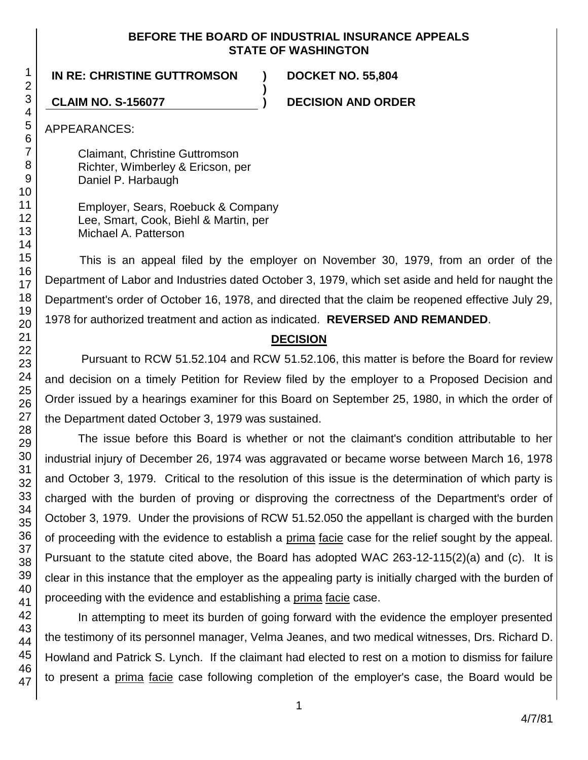### **BEFORE THE BOARD OF INDUSTRIAL INSURANCE APPEALS STATE OF WASHINGTON**

**)**

**IN RE: CHRISTINE GUTTROMSON ) DOCKET NO. 55,804**

**CLAIM NO. S-156077 ) DECISION AND ORDER**

APPEARANCES:

Claimant, Christine Guttromson Richter, Wimberley & Ericson, per Daniel P. Harbaugh

Employer, Sears, Roebuck & Company Lee, Smart, Cook, Biehl & Martin, per Michael A. Patterson

This is an appeal filed by the employer on November 30, 1979, from an order of the Department of Labor and Industries dated October 3, 1979, which set aside and held for naught the Department's order of October 16, 1978, and directed that the claim be reopened effective July 29, 1978 for authorized treatment and action as indicated. **REVERSED AND REMANDED**.

## **DECISION**

Pursuant to RCW 51.52.104 and RCW 51.52.106, this matter is before the Board for review and decision on a timely Petition for Review filed by the employer to a Proposed Decision and Order issued by a hearings examiner for this Board on September 25, 1980, in which the order of the Department dated October 3, 1979 was sustained.

The issue before this Board is whether or not the claimant's condition attributable to her industrial injury of December 26, 1974 was aggravated or became worse between March 16, 1978 and October 3, 1979. Critical to the resolution of this issue is the determination of which party is charged with the burden of proving or disproving the correctness of the Department's order of October 3, 1979. Under the provisions of RCW 51.52.050 the appellant is charged with the burden of proceeding with the evidence to establish a prima facie case for the relief sought by the appeal. Pursuant to the statute cited above, the Board has adopted WAC 263-12-115(2)(a) and (c). It is clear in this instance that the employer as the appealing party is initially charged with the burden of proceeding with the evidence and establishing a prima facie case.

In attempting to meet its burden of going forward with the evidence the employer presented the testimony of its personnel manager, Velma Jeanes, and two medical witnesses, Drs. Richard D. Howland and Patrick S. Lynch. If the claimant had elected to rest on a motion to dismiss for failure to present a prima facie case following completion of the employer's case, the Board would be

1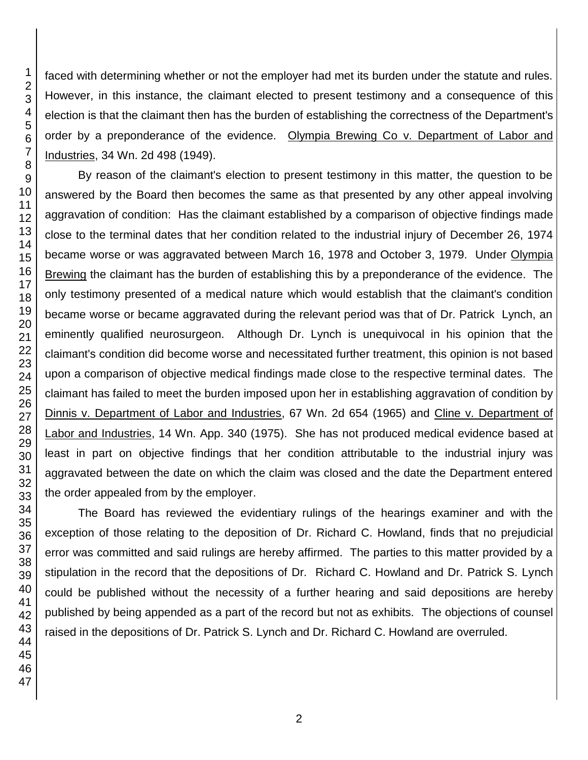faced with determining whether or not the employer had met its burden under the statute and rules. However, in this instance, the claimant elected to present testimony and a consequence of this election is that the claimant then has the burden of establishing the correctness of the Department's order by a preponderance of the evidence. Olympia Brewing Co v. Department of Labor and Industries, 34 Wn. 2d 498 (1949).

By reason of the claimant's election to present testimony in this matter, the question to be answered by the Board then becomes the same as that presented by any other appeal involving aggravation of condition: Has the claimant established by a comparison of objective findings made close to the terminal dates that her condition related to the industrial injury of December 26, 1974 became worse or was aggravated between March 16, 1978 and October 3, 1979. Under Olympia Brewing the claimant has the burden of establishing this by a preponderance of the evidence. The only testimony presented of a medical nature which would establish that the claimant's condition became worse or became aggravated during the relevant period was that of Dr. Patrick Lynch, an eminently qualified neurosurgeon. Although Dr. Lynch is unequivocal in his opinion that the claimant's condition did become worse and necessitated further treatment, this opinion is not based upon a comparison of objective medical findings made close to the respective terminal dates. The claimant has failed to meet the burden imposed upon her in establishing aggravation of condition by Dinnis v. Department of Labor and Industries, 67 Wn. 2d 654 (1965) and Cline v. Department of Labor and Industries, 14 Wn. App. 340 (1975). She has not produced medical evidence based at least in part on objective findings that her condition attributable to the industrial injury was aggravated between the date on which the claim was closed and the date the Department entered the order appealed from by the employer.

The Board has reviewed the evidentiary rulings of the hearings examiner and with the exception of those relating to the deposition of Dr. Richard C. Howland, finds that no prejudicial error was committed and said rulings are hereby affirmed. The parties to this matter provided by a stipulation in the record that the depositions of Dr. Richard C. Howland and Dr. Patrick S. Lynch could be published without the necessity of a further hearing and said depositions are hereby published by being appended as a part of the record but not as exhibits. The objections of counsel raised in the depositions of Dr. Patrick S. Lynch and Dr. Richard C. Howland are overruled.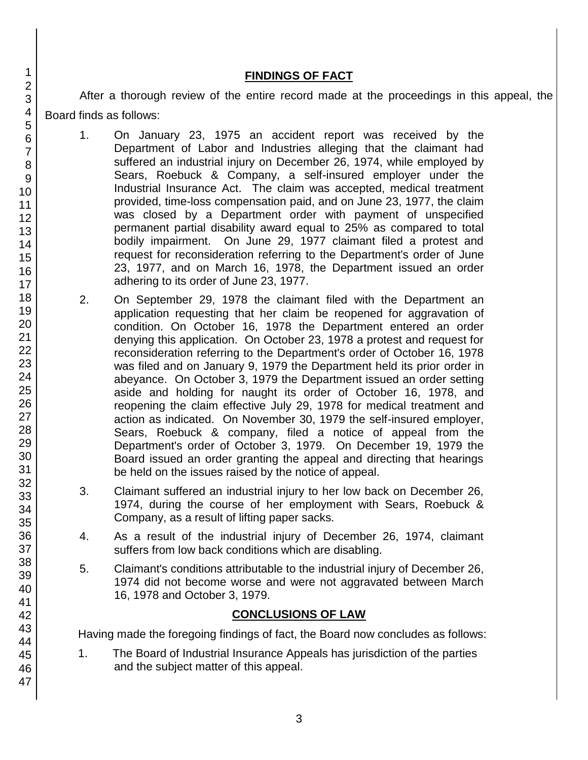### **FINDINGS OF FACT**

After a thorough review of the entire record made at the proceedings in this appeal, the Board finds as follows:

1. On January 23, 1975 an accident report was received by the Department of Labor and Industries alleging that the claimant had suffered an industrial injury on December 26, 1974, while employed by Sears, Roebuck & Company, a self-insured employer under the Industrial Insurance Act. The claim was accepted, medical treatment provided, time-loss compensation paid, and on June 23, 1977, the claim was closed by a Department order with payment of unspecified permanent partial disability award equal to 25% as compared to total bodily impairment. On June 29, 1977 claimant filed a protest and request for reconsideration referring to the Department's order of June 23, 1977, and on March 16, 1978, the Department issued an order adhering to its order of June 23, 1977.

- 2. On September 29, 1978 the claimant filed with the Department an application requesting that her claim be reopened for aggravation of condition. On October 16, 1978 the Department entered an order denying this application. On October 23, 1978 a protest and request for reconsideration referring to the Department's order of October 16, 1978 was filed and on January 9, 1979 the Department held its prior order in abeyance. On October 3, 1979 the Department issued an order setting aside and holding for naught its order of October 16, 1978, and reopening the claim effective July 29, 1978 for medical treatment and action as indicated. On November 30, 1979 the self-insured employer, Sears, Roebuck & company, filed a notice of appeal from the Department's order of October 3, 1979. On December 19, 1979 the Board issued an order granting the appeal and directing that hearings be held on the issues raised by the notice of appeal.
- 3. Claimant suffered an industrial injury to her low back on December 26, 1974, during the course of her employment with Sears, Roebuck & Company, as a result of lifting paper sacks.
- 4. As a result of the industrial injury of December 26, 1974, claimant suffers from low back conditions which are disabling.
- 5. Claimant's conditions attributable to the industrial injury of December 26, 1974 did not become worse and were not aggravated between March 16, 1978 and October 3, 1979.

## **CONCLUSIONS OF LAW**

Having made the foregoing findings of fact, the Board now concludes as follows:

1. The Board of Industrial Insurance Appeals has jurisdiction of the parties and the subject matter of this appeal.